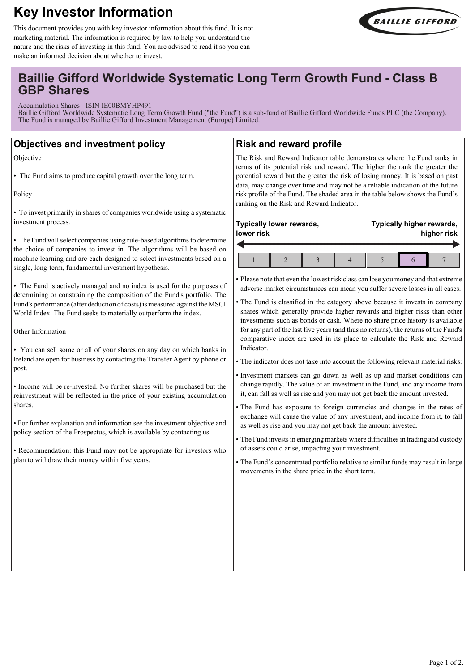# **Key Investor Information**



This document provides you with key investor information about this fund. It is not marketing material. The information is required by law to help you understand the nature and the risks of investing in this fund. You are advised to read it so you can make an informed decision about whether to invest.

# **Baillie Gifford Worldwide Systematic Long Term Growth Fund - Class B GBP Shares**

Accumulation Shares - ISIN IE00BMYHP491

Baillie Gifford Worldwide Systematic Long Term Growth Fund ("the Fund") is a sub-fund of Baillie Gifford Worldwide Funds PLC (the Company). The Fund is managed by Baillie Gifford Investment Management (Europe) Limited.

### **Objectives and investment policy**

Objective

• The Fund aims to produce capital growth over the long term.

Policy

• To invest primarily in shares of companies worldwide using a systematic investment process.

• The Fund will select companies using rule-based algorithms to determine the choice of companies to invest in. The algorithms will be based on machine learning and are each designed to select investments based on a single, long-term, fundamental investment hypothesis.

• The Fund is actively managed and no index is used for the purposes of determining or constraining the composition of the Fund's portfolio. The Fund's performance (after deduction of costs) is measured against the MSCI World Index. The Fund seeks to materially outperform the index.

Other Information

• You can sell some or all of your shares on any day on which banks in Ireland are open for business by contacting the Transfer Agent by phone or post.

• Income will be re-invested. No further shares will be purchased but the reinvestment will be reflected in the price of your existing accumulation shares.

• For further explanation and information see the investment objective and policy section of the Prospectus, which is available by contacting us.

• Recommendation: this Fund may not be appropriate for investors who plan to withdraw their money within five years.

### **Risk and reward profile**

The Risk and Reward Indicator table demonstrates where the Fund ranks in terms of its potential risk and reward. The higher the rank the greater the potential reward but the greater the risk of losing money. It is based on past data, may change over time and may not be a reliable indication of the future risk profile of the Fund. The shaded area in the table below shows the Fund's ranking on the Risk and Reward Indicator.

| Typically lower rewards, |  |  |  |  | Typically higher rewards, |  |  |
|--------------------------|--|--|--|--|---------------------------|--|--|
| lower risk               |  |  |  |  | higher risk               |  |  |
|                          |  |  |  |  |                           |  |  |

• Please note that even the lowest risk class can lose you money and that extreme adverse market circumstances can mean you suffer severe losses in all cases.

• The Fund is classified in the category above because it invests in company shares which generally provide higher rewards and higher risks than other investments such as bonds or cash. Where no share price history is available for any part of the last five years (and thus no returns), the returns of the Fund's comparative index are used in its place to calculate the Risk and Reward Indicator.

• The indicator does not take into account the following relevant material risks:

- Investment markets can go down as well as up and market conditions can change rapidly. The value of an investment in the Fund, and any income from it, can fall as well as rise and you may not get back the amount invested.
- The Fund has exposure to foreign currencies and changes in the rates of exchange will cause the value of any investment, and income from it, to fall as well as rise and you may not get back the amount invested.
- The Fund invests in emerging markets where difficulties in trading and custody of assets could arise, impacting your investment.
- The Fund's concentrated portfolio relative to similar funds may result in large movements in the share price in the short term.